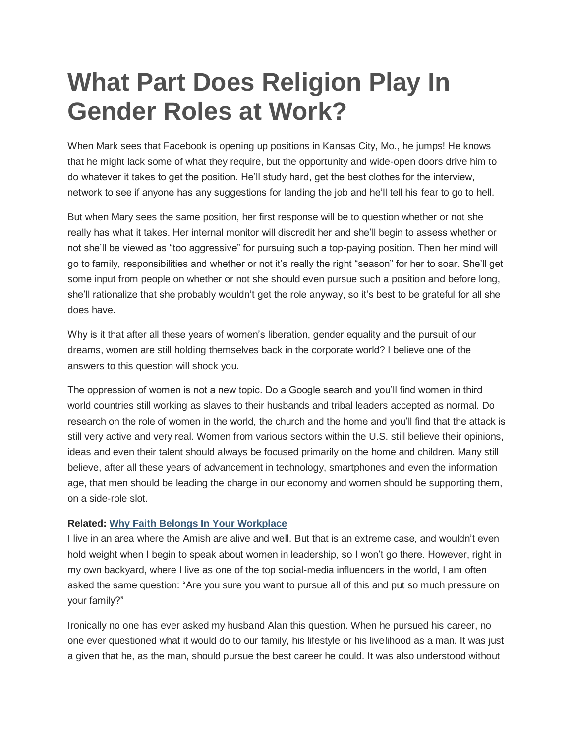## **What Part Does Religion Play In Gender Roles at Work?**

When Mark sees that Facebook is opening up positions in Kansas City, Mo., he jumps! He knows that he might lack some of what they require, but the opportunity and wide-open doors drive him to do whatever it takes to get the position. He'll study hard, get the best clothes for the interview, network to see if anyone has any suggestions for landing the job and he'll tell his fear to go to hell.

But when Mary sees the same position, her first response will be to question whether or not she really has what it takes. Her internal monitor will discredit her and she'll begin to assess whether or not she'll be viewed as "too aggressive" for pursuing such a top-paying position. Then her mind will go to family, responsibilities and whether or not it's really the right "season" for her to soar. She'll get some input from people on whether or not she should even pursue such a position and before long, she'll rationalize that she probably wouldn't get the role anyway, so it's best to be grateful for all she does have.

Why is it that after all these years of women's liberation, gender equality and the pursuit of our dreams, women are still holding themselves back in the corporate world? I believe one of the answers to this question will shock you.

The oppression of women is not a new topic. Do a Google search and you'll find women in third world countries still working as slaves to their husbands and tribal leaders accepted as normal. Do research on the role of women in the world, the church and the home and you'll find that the attack is still very active and very real. Women from various sectors within the U.S. still believe their opinions, ideas and even their talent should always be focused primarily on the home and children. Many still believe, after all these years of advancement in technology, smartphones and even the information age, that men should be leading the charge in our economy and women should be supporting them, on a side-role slot.

## **Related: [Why Faith Belongs In Your Workplace](http://www.entrepreneur.com/article/230590)**

I live in an area where the Amish are alive and well. But that is an extreme case, and wouldn't even hold weight when I begin to speak about women in leadership, so I won't go there. However, right in my own backyard, where I live as one of the top social-media influencers in the world, I am often asked the same question: "Are you sure you want to pursue all of this and put so much pressure on your family?"

Ironically no one has ever asked my husband Alan this question. When he pursued his career, no one ever questioned what it would do to our family, his lifestyle or his livelihood as a man. It was just a given that he, as the man, should pursue the best career he could. It was also understood without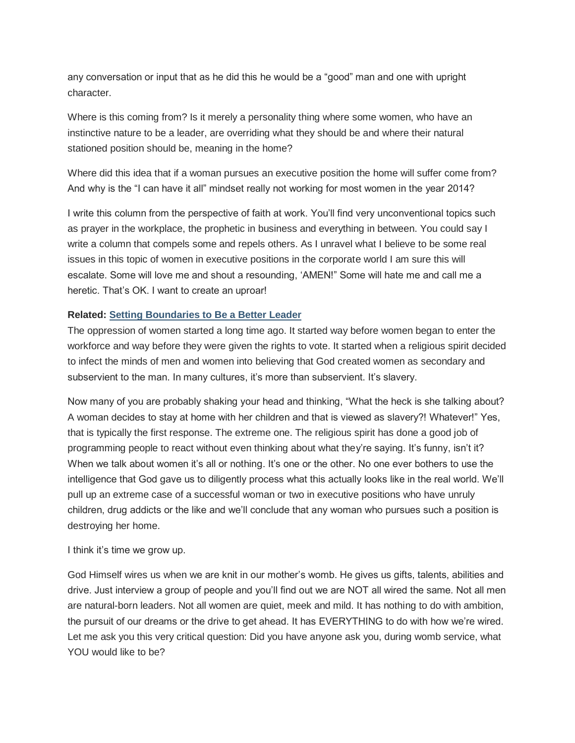any conversation or input that as he did this he would be a "good" man and one with upright character.

Where is this coming from? Is it merely a personality thing where some women, who have an instinctive nature to be a leader, are overriding what they should be and where their natural stationed position should be, meaning in the home?

Where did this idea that if a woman pursues an executive position the home will suffer come from? And why is the "I can have it all" mindset really not working for most women in the year 2014?

I write this column from the perspective of faith at work. You'll find very unconventional topics such as prayer in the workplace, the prophetic in business and everything in between. You could say I write a column that compels some and repels others. As I unravel what I believe to be some real issues in this topic of women in executive positions in the corporate world I am sure this will escalate. Some will love me and shout a resounding, 'AMEN!" Some will hate me and call me a heretic. That's OK. I want to create an uproar!

## **Related: [Setting Boundaries to Be a Better Leader](http://www.entrepreneur.com/article/231050)**

The oppression of women started a long time ago. It started way before women began to enter the workforce and way before they were given the rights to vote. It started when a religious spirit decided to infect the minds of men and women into believing that God created women as secondary and subservient to the man. In many cultures, it's more than subservient. It's slavery.

Now many of you are probably shaking your head and thinking, "What the heck is she talking about? A woman decides to stay at home with her children and that is viewed as slavery?! Whatever!" Yes, that is typically the first response. The extreme one. The religious spirit has done a good job of programming people to react without even thinking about what they're saying. It's funny, isn't it? When we talk about women it's all or nothing. It's one or the other. No one ever bothers to use the intelligence that God gave us to diligently process what this actually looks like in the real world. We'll pull up an extreme case of a successful woman or two in executive positions who have unruly children, drug addicts or the like and we'll conclude that any woman who pursues such a position is destroying her home.

I think it's time we grow up.

God Himself wires us when we are knit in our mother's womb. He gives us gifts, talents, abilities and drive. Just interview a group of people and you'll find out we are NOT all wired the same. Not all men are natural-born leaders. Not all women are quiet, meek and mild. It has nothing to do with ambition, the pursuit of our dreams or the drive to get ahead. It has EVERYTHING to do with how we're wired. Let me ask you this very critical question: Did you have anyone ask you, during womb service, what YOU would like to be?